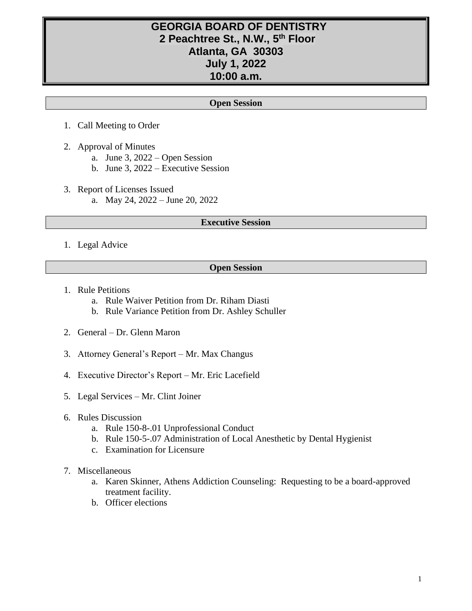# **GEORGIA BOARD OF DENTISTRY 2 Peachtree St., N.W., 5 th Floor Atlanta, GA 30303 July 1, 2022 10:00 a.m.**

### **Open Session**

- 1. Call Meeting to Order
- 2. Approval of Minutes
	- a. June 3, 2022 Open Session
	- b. June 3, 2022 Executive Session
- 3. Report of Licenses Issued a. May 24, 2022 – June 20, 2022

#### **Executive Session**

1. Legal Advice

#### **Open Session**

- 1. Rule Petitions
	- a. Rule Waiver Petition from Dr. Riham Diasti
	- b. Rule Variance Petition from Dr. Ashley Schuller
- 2. General Dr. Glenn Maron
- 3. Attorney General's Report Mr. Max Changus
- 4. Executive Director's Report Mr. Eric Lacefield
- 5. Legal Services Mr. Clint Joiner
- 6. Rules Discussion
	- a. Rule 150-8-.01 Unprofessional Conduct
	- b. Rule 150-5-.07 Administration of Local Anesthetic by Dental Hygienist
	- c. Examination for Licensure
- 7. Miscellaneous
	- a. Karen Skinner, Athens Addiction Counseling: Requesting to be a board-approved treatment facility.
	- b. Officer elections